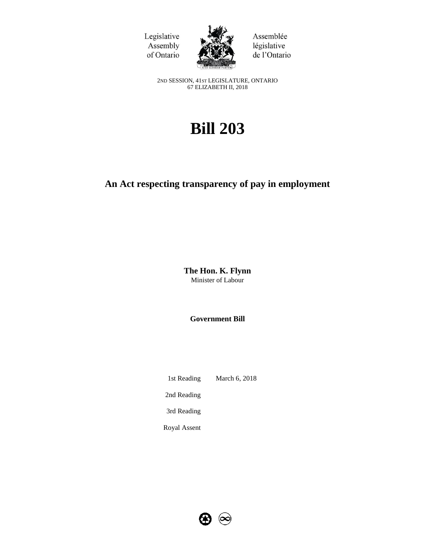Legislative Assembly of Ontario



Assemblée législative de l'Ontario

2ND SESSION, 41ST LEGISLATURE, ONTARIO 67 ELIZABETH II, 2018

# **Bill 203**

# **An Act respecting transparency of pay in employment**

**The Hon. K. Flynn** Minister of Labour

**Government Bill**

1st Reading March 6, 2018 2nd Reading 3rd Reading

Royal Assent

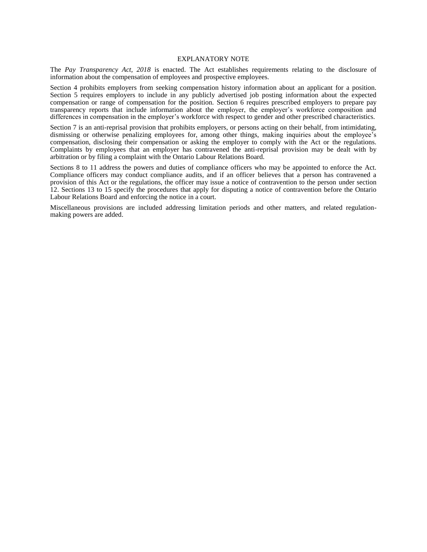#### EXPLANATORY NOTE

The *Pay Transparency Act, 2018* is enacted. The Act establishes requirements relating to the disclosure of information about the compensation of employees and prospective employees.

Section 4 prohibits employers from seeking compensation history information about an applicant for a position. Section 5 requires employers to include in any publicly advertised job posting information about the expected compensation or range of compensation for the position. Section 6 requires prescribed employers to prepare pay transparency reports that include information about the employer, the employer's workforce composition and differences in compensation in the employer's workforce with respect to gender and other prescribed characteristics.

Section 7 is an anti-reprisal provision that prohibits employers, or persons acting on their behalf, from intimidating, dismissing or otherwise penalizing employees for, among other things, making inquiries about the employee's compensation, disclosing their compensation or asking the employer to comply with the Act or the regulations. Complaints by employees that an employer has contravened the anti-reprisal provision may be dealt with by arbitration or by filing a complaint with the Ontario Labour Relations Board.

Sections 8 to 11 address the powers and duties of compliance officers who may be appointed to enforce the Act. Compliance officers may conduct compliance audits, and if an officer believes that a person has contravened a provision of this Act or the regulations, the officer may issue a notice of contravention to the person under section 12. Sections 13 to 15 specify the procedures that apply for disputing a notice of contravention before the Ontario Labour Relations Board and enforcing the notice in a court.

Miscellaneous provisions are included addressing limitation periods and other matters, and related regulationmaking powers are added.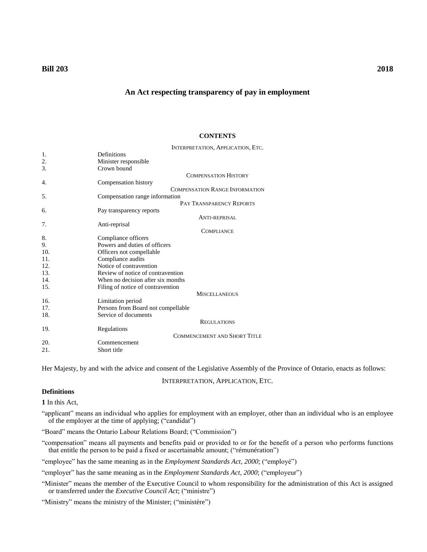# **Bill 203 2018**

# **An Act respecting transparency of pay in employment**

#### **CONTENTS**

I[NTERPRETATION](#page-2-0), APPLICATION, ETC.

| 1.  | Definitions                           |
|-----|---------------------------------------|
| 2.  | Minister responsible                  |
| 3.  | Crown bound                           |
|     | <b>COMPENSATION HISTORY</b>           |
| 4.  | Compensation history                  |
|     | <b>COMPENSATION RANGE INFORMATION</b> |
| 5.  | Compensation range information        |
|     | PAY TRANSPARENCY REPORTS              |
| 6.  | Pay transparency reports              |
|     | ANTI-REPRISAL                         |
| 7.  | Anti-reprisal                         |
|     | <b>COMPLIANCE</b>                     |
| 8.  | Compliance officers                   |
| 9.  | Powers and duties of officers         |
| 10. | Officers not compellable              |
| 11. | Compliance audits                     |
| 12. | Notice of contravention               |
| 13. | Review of notice of contravention     |
| 14. | When no decision after six months     |
| 15. | Filing of notice of contravention     |
|     | <b>MISCELLANEOUS</b>                  |
| 16. | Limitation period                     |
| 17. | Persons from Board not compellable    |
| 18. | Service of documents                  |
|     | <b>REGULATIONS</b>                    |
| 19. | Regulations                           |
|     | <b>COMMENCEMENT AND SHORT TITLE</b>   |
| 20. | Commencement                          |
| 21. | Short title                           |

<span id="page-2-0"></span>Her Majesty, by and with the advice and consent of the Legislative Assembly of the Province of Ontario, enacts as follows:

INTERPRETATION, APPLICATION, ETC.

# **Definitions**

<span id="page-2-1"></span>**1** In this Act,

"applicant" means an individual who applies for employment with an employer, other than an individual who is an employee of the employer at the time of applying; ("candidat")

"Board" means the Ontario Labour Relations Board; ("Commission")

"compensation" means all payments and benefits paid or provided to or for the benefit of a person who performs functions that entitle the person to be paid a fixed or ascertainable amount; ("rémunération")

"employee" has the same meaning as in the *Employment Standards Act, 2000*; ("employé")

"employer" has the same meaning as in the *Employment Standards Act, 2000*; ("employeur")

"Minister" means the member of the Executive Council to whom responsibility for the administration of this Act is assigned or transferred under the *Executive Council Act*; ("ministre")

"Ministry" means the ministry of the Minister; ("ministère")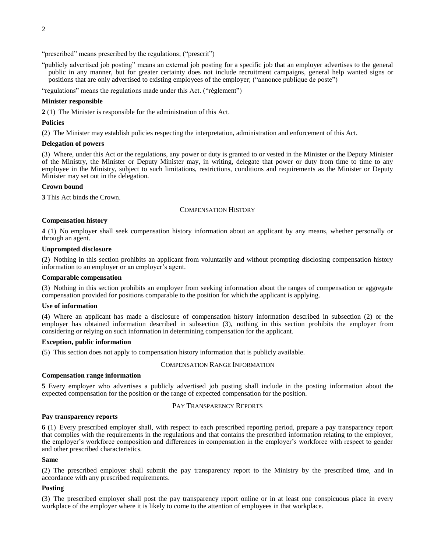"prescribed" means prescribed by the regulations; ("prescrit")

"publicly advertised job posting" means an external job posting for a specific job that an employer advertises to the general public in any manner, but for greater certainty does not include recruitment campaigns, general help wanted signs or positions that are only advertised to existing employees of the employer; ("annonce publique de poste")

"regulations" means the regulations made under this Act. ("règlement")

#### **Minister responsible**

<span id="page-3-0"></span>**2** (1) The Minister is responsible for the administration of this Act.

#### **Policies**

(2) The Minister may establish policies respecting the interpretation, administration and enforcement of this Act.

## **Delegation of powers**

(3) Where, under this Act or the regulations, any power or duty is granted to or vested in the Minister or the Deputy Minister of the Ministry, the Minister or Deputy Minister may, in writing, delegate that power or duty from time to time to any employee in the Ministry, subject to such limitations, restrictions, conditions and requirements as the Minister or Deputy Minister may set out in the delegation.

#### **Crown bound**

<span id="page-3-2"></span><span id="page-3-1"></span>**3** This Act binds the Crown.

#### COMPENSATION HISTORY

#### **Compensation history**

<span id="page-3-3"></span>**4** (1) No employer shall seek compensation history information about an applicant by any means, whether personally or through an agent.

#### **Unprompted disclosure**

(2) Nothing in this section prohibits an applicant from voluntarily and without prompting disclosing compensation history information to an employer or an employer's agent.

#### **Comparable compensation**

(3) Nothing in this section prohibits an employer from seeking information about the ranges of compensation or aggregate compensation provided for positions comparable to the position for which the applicant is applying.

#### **Use of information**

(4) Where an applicant has made a disclosure of compensation history information described in subsection (2) or the employer has obtained information described in subsection (3), nothing in this section prohibits the employer from considering or relying on such information in determining compensation for the applicant.

#### **Exception, public information**

<span id="page-3-4"></span>(5) This section does not apply to compensation history information that is publicly available.

#### COMPENSATION RANGE INFORMATION

#### **Compensation range information**

<span id="page-3-6"></span><span id="page-3-5"></span>**5** Every employer who advertises a publicly advertised job posting shall include in the posting information about the expected compensation for the position or the range of expected compensation for the position.

#### PAY TRANSPARENCY REPORTS

#### **Pay transparency reports**

<span id="page-3-7"></span>**6** (1) Every prescribed employer shall, with respect to each prescribed reporting period, prepare a pay transparency report that complies with the requirements in the regulations and that contains the prescribed information relating to the employer, the employer's workforce composition and differences in compensation in the employer's workforce with respect to gender and other prescribed characteristics.

#### **Same**

(2) The prescribed employer shall submit the pay transparency report to the Ministry by the prescribed time, and in accordance with any prescribed requirements.

### **Posting**

(3) The prescribed employer shall post the pay transparency report online or in at least one conspicuous place in every workplace of the employer where it is likely to come to the attention of employees in that workplace.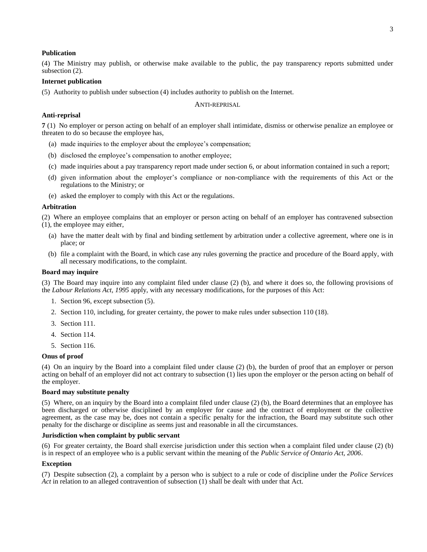#### **Publication**

(4) The Ministry may publish, or otherwise make available to the public, the pay transparency reports submitted under subsection (2).

#### **Internet publication**

<span id="page-4-0"></span>(5) Authority to publish under subsection (4) includes authority to publish on the Internet.

#### ANTI-REPRISAL

#### **Anti-reprisal**

<span id="page-4-1"></span>**7** (1) No employer or person acting on behalf of an employer shall intimidate, dismiss or otherwise penalize an employee or threaten to do so because the employee has,

- (a) made inquiries to the employer about the employee's compensation;
- (b) disclosed the employee's compensation to another employee;
- (c) made inquiries about a pay transparency report made under section 6, or about information contained in such a report;
- (d) given information about the employer's compliance or non-compliance with the requirements of this Act or the regulations to the Ministry; or
- (e) asked the employer to comply with this Act or the regulations.

#### **Arbitration**

(2) Where an employee complains that an employer or person acting on behalf of an employer has contravened subsection (1), the employee may either,

- (a) have the matter dealt with by final and binding settlement by arbitration under a collective agreement, where one is in place; or
- (b) file a complaint with the Board, in which case any rules governing the practice and procedure of the Board apply, with all necessary modifications, to the complaint.

#### **Board may inquire**

(3) The Board may inquire into any complaint filed under clause (2) (b), and where it does so, the following provisions of the *Labour Relations Act, 1995* apply, with any necessary modifications, for the purposes of this Act:

- 1. Section 96, except subsection (5).
- 2. Section 110, including, for greater certainty, the power to make rules under subsection 110 (18).
- 3. Section 111.
- 4. Section 114.
- 5. Section 116.

# **Onus of proof**

(4) On an inquiry by the Board into a complaint filed under clause (2) (b), the burden of proof that an employer or person acting on behalf of an employer did not act contrary to subsection (1) lies upon the employer or the person acting on behalf of the employer.

#### **Board may substitute penalty**

(5) Where, on an inquiry by the Board into a complaint filed under clause (2) (b), the Board determines that an employee has been discharged or otherwise disciplined by an employer for cause and the contract of employment or the collective agreement, as the case may be, does not contain a specific penalty for the infraction, the Board may substitute such other penalty for the discharge or discipline as seems just and reasonable in all the circumstances.

#### **Jurisdiction when complaint by public servant**

(6) For greater certainty, the Board shall exercise jurisdiction under this section when a complaint filed under clause (2) (b) is in respect of an employee who is a public servant within the meaning of the *Public Service of Ontario Act, 2006*.

## **Exception**

(7) Despite subsection (2), a complaint by a person who is subject to a rule or code of discipline under the *Police Services Act* in relation to an alleged contravention of subsection (1) shall be dealt with under that Act.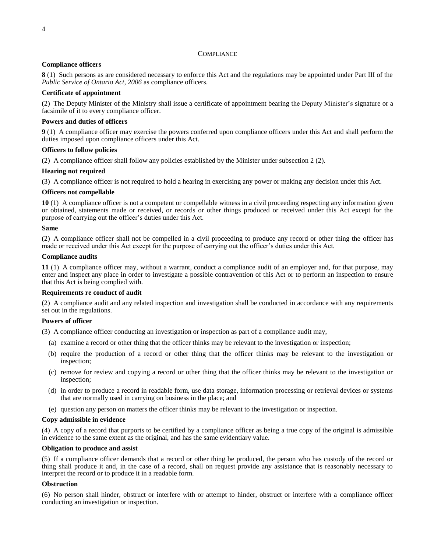# **COMPLIANCE**

# <span id="page-5-0"></span>**Compliance officers**

<span id="page-5-1"></span>**8** (1) Such persons as are considered necessary to enforce this Act and the regulations may be appointed under Part III of the *Public Service of Ontario Act, 2006* as compliance officers.

# **Certificate of appointment**

(2) The Deputy Minister of the Ministry shall issue a certificate of appointment bearing the Deputy Minister's signature or a facsimile of it to every compliance officer.

# **Powers and duties of officers**

<span id="page-5-2"></span>**9** (1) A compliance officer may exercise the powers conferred upon compliance officers under this Act and shall perform the duties imposed upon compliance officers under this Act.

#### **Officers to follow policies**

(2) A compliance officer shall follow any policies established by the Minister under subsection 2 (2).

# **Hearing not required**

(3) A compliance officer is not required to hold a hearing in exercising any power or making any decision under this Act.

# **Officers not compellable**

<span id="page-5-3"></span>**10** (1) A compliance officer is not a competent or compellable witness in a civil proceeding respecting any information given or obtained, statements made or received, or records or other things produced or received under this Act except for the purpose of carrying out the officer's duties under this Act.

# **Same**

(2) A compliance officer shall not be compelled in a civil proceeding to produce any record or other thing the officer has made or received under this Act except for the purpose of carrying out the officer's duties under this Act.

# **Compliance audits**

<span id="page-5-4"></span>**11** (1) A compliance officer may, without a warrant, conduct a compliance audit of an employer and, for that purpose, may enter and inspect any place in order to investigate a possible contravention of this Act or to perform an inspection to ensure that this Act is being complied with.

#### **Requirements re conduct of audit**

(2) A compliance audit and any related inspection and investigation shall be conducted in accordance with any requirements set out in the regulations.

# **Powers of officer**

(3) A compliance officer conducting an investigation or inspection as part of a compliance audit may,

- (a) examine a record or other thing that the officer thinks may be relevant to the investigation or inspection;
- (b) require the production of a record or other thing that the officer thinks may be relevant to the investigation or inspection;
- (c) remove for review and copying a record or other thing that the officer thinks may be relevant to the investigation or inspection;
- (d) in order to produce a record in readable form, use data storage, information processing or retrieval devices or systems that are normally used in carrying on business in the place; and
- (e) question any person on matters the officer thinks may be relevant to the investigation or inspection.

#### **Copy admissible in evidence**

(4) A copy of a record that purports to be certified by a compliance officer as being a true copy of the original is admissible in evidence to the same extent as the original, and has the same evidentiary value.

#### **Obligation to produce and assist**

(5) If a compliance officer demands that a record or other thing be produced, the person who has custody of the record or thing shall produce it and, in the case of a record, shall on request provide any assistance that is reasonably necessary to interpret the record or to produce it in a readable form.

#### **Obstruction**

(6) No person shall hinder, obstruct or interfere with or attempt to hinder, obstruct or interfere with a compliance officer conducting an investigation or inspection.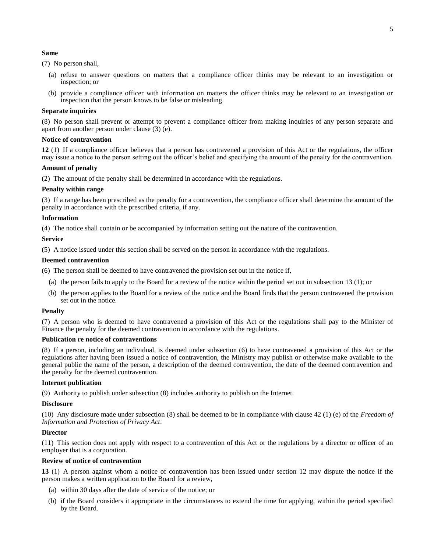#### **Same**

(7) No person shall,

- (a) refuse to answer questions on matters that a compliance officer thinks may be relevant to an investigation or inspection; or
- (b) provide a compliance officer with information on matters the officer thinks may be relevant to an investigation or inspection that the person knows to be false or misleading.

#### **Separate inquiries**

(8) No person shall prevent or attempt to prevent a compliance officer from making inquiries of any person separate and apart from another person under clause (3) (e).

#### **Notice of contravention**

<span id="page-6-0"></span>**12** (1) If a compliance officer believes that a person has contravened a provision of this Act or the regulations, the officer may issue a notice to the person setting out the officer's belief and specifying the amount of the penalty for the contravention.

#### **Amount of penalty**

(2) The amount of the penalty shall be determined in accordance with the regulations.

#### **Penalty within range**

(3) If a range has been prescribed as the penalty for a contravention, the compliance officer shall determine the amount of the penalty in accordance with the prescribed criteria, if any.

#### **Information**

(4) The notice shall contain or be accompanied by information setting out the nature of the contravention.

#### **Service**

(5) A notice issued under this section shall be served on the person in accordance with the regulations.

#### **Deemed contravention**

(6) The person shall be deemed to have contravened the provision set out in the notice if,

- (a) the person fails to apply to the Board for a review of the notice within the period set out in subsection 13 (1); or
- (b) the person applies to the Board for a review of the notice and the Board finds that the person contravened the provision set out in the notice.

#### **Penalty**

(7) A person who is deemed to have contravened a provision of this Act or the regulations shall pay to the Minister of Finance the penalty for the deemed contravention in accordance with the regulations.

#### **Publication re notice of contraventions**

(8) If a person, including an individual, is deemed under subsection (6) to have contravened a provision of this Act or the regulations after having been issued a notice of contravention, the Ministry may publish or otherwise make available to the general public the name of the person, a description of the deemed contravention, the date of the deemed contravention and the penalty for the deemed contravention.

#### **Internet publication**

(9) Authority to publish under subsection (8) includes authority to publish on the Internet.

#### **Disclosure**

(10) Any disclosure made under subsection (8) shall be deemed to be in compliance with clause 42 (1) (e) of the *Freedom of Information and Protection of Privacy Act*.

#### **Director**

(11) This section does not apply with respect to a contravention of this Act or the regulations by a director or officer of an employer that is a corporation.

#### **Review of notice of contravention**

<span id="page-6-1"></span>**13** (1) A person against whom a notice of contravention has been issued under section 12 may dispute the notice if the person makes a written application to the Board for a review,

- (a) within 30 days after the date of service of the notice; or
- (b) if the Board considers it appropriate in the circumstances to extend the time for applying, within the period specified by the Board.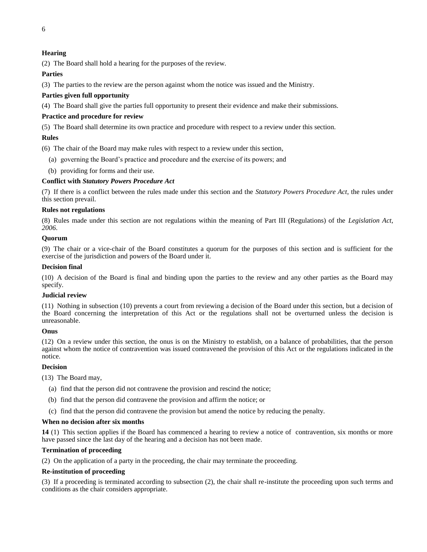# **Hearing**

(2) The Board shall hold a hearing for the purposes of the review.

# **Parties**

(3) The parties to the review are the person against whom the notice was issued and the Ministry.

# **Parties given full opportunity**

(4) The Board shall give the parties full opportunity to present their evidence and make their submissions.

# **Practice and procedure for review**

(5) The Board shall determine its own practice and procedure with respect to a review under this section.

# **Rules**

(6) The chair of the Board may make rules with respect to a review under this section,

- (a) governing the Board's practice and procedure and the exercise of its powers; and
- (b) providing for forms and their use.

# **Conflict with** *Statutory Powers Procedure Act*

(7) If there is a conflict between the rules made under this section and the *Statutory Powers Procedure Act*, the rules under this section prevail.

#### **Rules not regulations**

(8) Rules made under this section are not regulations within the meaning of Part III (Regulations) of the *Legislation Act, 2006*.

#### **Quorum**

(9) The chair or a vice-chair of the Board constitutes a quorum for the purposes of this section and is sufficient for the exercise of the jurisdiction and powers of the Board under it.

#### **Decision final**

(10) A decision of the Board is final and binding upon the parties to the review and any other parties as the Board may specify.

#### **Judicial review**

(11) Nothing in subsection (10) prevents a court from reviewing a decision of the Board under this section, but a decision of the Board concerning the interpretation of this Act or the regulations shall not be overturned unless the decision is unreasonable.

#### **Onus**

(12) On a review under this section, the onus is on the Ministry to establish, on a balance of probabilities, that the person against whom the notice of contravention was issued contravened the provision of this Act or the regulations indicated in the notice.

#### **Decision**

(13) The Board may,

- (a) find that the person did not contravene the provision and rescind the notice;
- (b) find that the person did contravene the provision and affirm the notice; or
- (c) find that the person did contravene the provision but amend the notice by reducing the penalty.

#### **When no decision after six months**

<span id="page-7-0"></span>**14** (1) This section applies if the Board has commenced a hearing to review a notice of contravention, six months or more have passed since the last day of the hearing and a decision has not been made.

#### **Termination of proceeding**

(2) On the application of a party in the proceeding, the chair may terminate the proceeding.

#### **Re-institution of proceeding**

(3) If a proceeding is terminated according to subsection (2), the chair shall re-institute the proceeding upon such terms and conditions as the chair considers appropriate.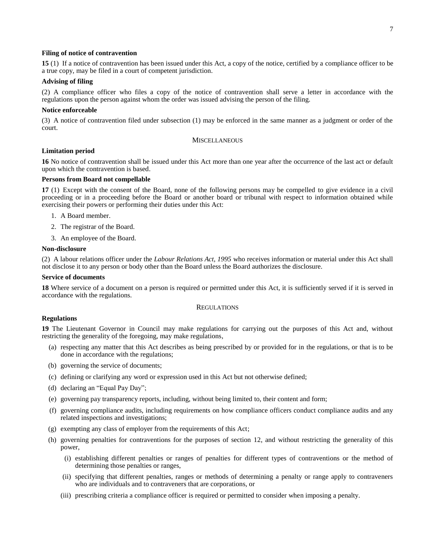#### **Filing of notice of contravention**

<span id="page-8-0"></span>**15** (1) If a notice of contravention has been issued under this Act, a copy of the notice, certified by a compliance officer to be a true copy, may be filed in a court of competent jurisdiction.

#### **Advising of filing**

(2) A compliance officer who files a copy of the notice of contravention shall serve a letter in accordance with the regulations upon the person against whom the order was issued advising the person of the filing.

#### **Notice enforceable**

<span id="page-8-1"></span>(3) A notice of contravention filed under subsection (1) may be enforced in the same manner as a judgment or order of the court.

#### **MISCELLANEOUS**

#### **Limitation period**

<span id="page-8-2"></span>**16** No notice of contravention shall be issued under this Act more than one year after the occurrence of the last act or default upon which the contravention is based.

#### **Persons from Board not compellable**

<span id="page-8-3"></span>**17** (1) Except with the consent of the Board, none of the following persons may be compelled to give evidence in a civil proceeding or in a proceeding before the Board or another board or tribunal with respect to information obtained while exercising their powers or performing their duties under this Act:

- 1. A Board member.
- 2. The registrar of the Board.
- 3. An employee of the Board.

#### **Non-disclosure**

(2) A labour relations officer under the *Labour Relations Act, 1995* who receives information or material under this Act shall not disclose it to any person or body other than the Board unless the Board authorizes the disclosure.

#### **Service of documents**

<span id="page-8-5"></span><span id="page-8-4"></span>**18** Where service of a document on a person is required or permitted under this Act, it is sufficiently served if it is served in accordance with the regulations.

#### **REGULATIONS**

#### **Regulations**

<span id="page-8-6"></span>**19** The Lieutenant Governor in Council may make regulations for carrying out the purposes of this Act and, without restricting the generality of the foregoing, may make regulations,

- (a) respecting any matter that this Act describes as being prescribed by or provided for in the regulations, or that is to be done in accordance with the regulations;
- (b) governing the service of documents;
- (c) defining or clarifying any word or expression used in this Act but not otherwise defined;
- (d) declaring an "Equal Pay Day";
- (e) governing pay transparency reports, including, without being limited to, their content and form;
- (f) governing compliance audits, including requirements on how compliance officers conduct compliance audits and any related inspections and investigations;
- (g) exempting any class of employer from the requirements of this Act;
- (h) governing penalties for contraventions for the purposes of section 12, and without restricting the generality of this power,
	- (i) establishing different penalties or ranges of penalties for different types of contraventions or the method of determining those penalties or ranges,
	- (ii) specifying that different penalties, ranges or methods of determining a penalty or range apply to contraveners who are individuals and to contraveners that are corporations, or
	- (iii) prescribing criteria a compliance officer is required or permitted to consider when imposing a penalty.